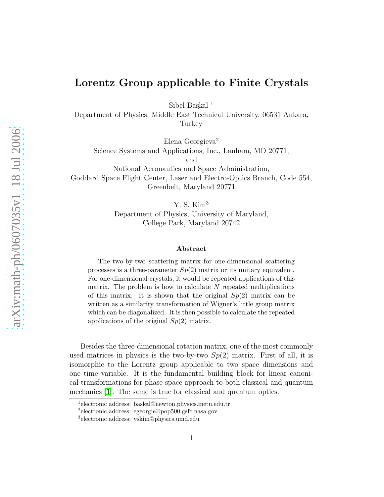## Lorentz Group applicable to Finite Crystals

Sibel Baskal<sup>1</sup>

Department of Physics, Middle East Technical University, 06531 Ankara, **Turkey** 

Elena Georgieva<sup>2</sup>

Science Systems and Applications, Inc., Lanham, MD 20771,

and

National Aeronautics and Space Administration, Goddard Space Flight Center, Laser and Electro-Optics Branch, Code 554, Greenbelt, Maryland 20771

Y. S. Kim<sup>3</sup>

Department of Physics, University of Maryland, College Park, Maryland 20742

## Abstract

The two-by-two scattering matrix for one-dimensional scattering processes is a three-parameter  $Sp(2)$  matrix or its unitary equivalent. For one-dimensional crystals, it would be repeated applications of this matrix. The problem is how to calculate  $N$  repeated multiplications of this matrix. It is shown that the original  $Sp(2)$  matrix can be written as a similarity transformation of Wigner's little group matrix which can be diagonalized. It is then possible to calculate the repeated applications of the original  $Sp(2)$  matrix.

Besides the three-dimensional rotation matrix, one of the most commonly used matrices in physics is the two-by-two  $Sp(2)$  matrix. First of all, it is isomorphic to the Lorentz group applicable to two space dimensions and one time variable. It is the fundamental building block for linear canonical transformations for phase-space approach to both classical and quantum mechanics [\[1\]](#page-4-0). The same is true for classical and quantum optics.

<sup>1</sup> electronic address: baskal@newton.physics.metu.edu.tr

<sup>2</sup> electronic address: egeorgie@pop500.gsfc.nasa.gov

<sup>3</sup> electronic address: yskim@physics.umd.edu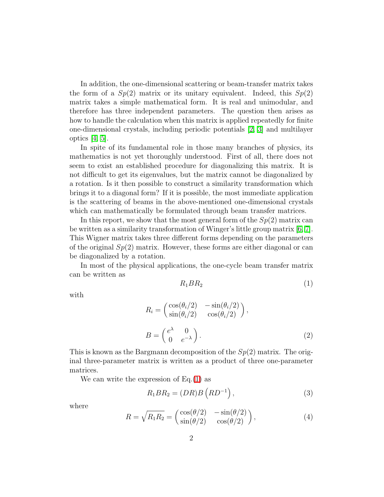In addition, the one-dimensional scattering or beam-transfer matrix takes the form of a  $Sp(2)$  matrix or its unitary equivalent. Indeed, this  $Sp(2)$ matrix takes a simple mathematical form. It is real and unimodular, and therefore has three independent parameters. The question then arises as how to handle the calculation when this matrix is applied repeatedly for finite one-dimensional crystals, including periodic potentials [\[2,](#page-4-1) [3\]](#page-4-2) and multilayer optics [\[4,](#page-4-3) [5\]](#page-4-4).

In spite of its fundamental role in those many branches of physics, its mathematics is not yet thoroughly understood. First of all, there does not seem to exist an established procedure for diagonalizing this matrix. It is not difficult to get its eigenvalues, but the matrix cannot be diagonalized by a rotation. Is it then possible to construct a similarity transformation which brings it to a diagonal form? If it is possible, the most immediate application is the scattering of beams in the above-mentioned one-dimensional crystals which can mathematically be formulated through beam transfer matrices.

In this report, we show that the most general form of the  $Sp(2)$  matrix can be written as a similarity transformation of Winger's little group matrix  $[6, 7]$  $[6, 7]$ . This Wigner matrix takes three different forms depending on the parameters of the original  $Sp(2)$  matrix. However, these forms are either diagonal or can be diagonalized by a rotation.

In most of the physical applications, the one-cycle beam transfer matrix can be written as

$$
R_1 B R_2 \tag{1}
$$

<span id="page-1-1"></span>with

<span id="page-1-0"></span>
$$
R_i = \begin{pmatrix} \cos(\theta_i/2) & -\sin(\theta_i/2) \\ \sin(\theta_i/2) & \cos(\theta_i/2) \end{pmatrix},
$$
  

$$
B = \begin{pmatrix} e^{\lambda} & 0 \\ 0 & e^{-\lambda} \end{pmatrix}.
$$
 (2)

This is known as the Bargmann decomposition of the  $Sp(2)$  matrix. The original three-parameter matrix is written as a product of three one-parameter matrices.

We can write the expression of  $Eq.(1)$  $Eq.(1)$  as

$$
R_1 B R_2 = (DR)B (RD^{-1}), \qquad (3)
$$

<span id="page-1-2"></span>where

$$
R = \sqrt{R_1 R_2} = \begin{pmatrix} \cos(\theta/2) & -\sin(\theta/2) \\ \sin(\theta/2) & \cos(\theta/2) \end{pmatrix},
$$
 (4)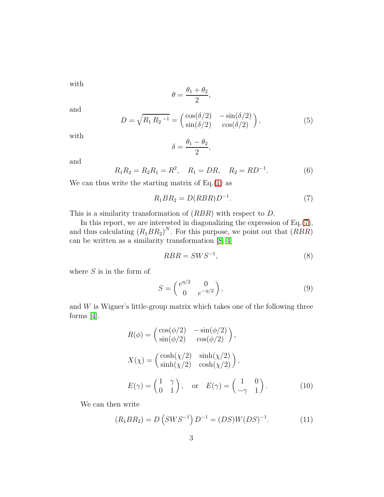with

$$
\theta = \frac{\theta_1 + \theta_2}{2},
$$

and

$$
D = \sqrt{R_1 R_2^{-1}} = \begin{pmatrix} \cos(\delta/2) & -\sin(\delta/2) \\ \sin(\delta/2) & \cos(\delta/2) \end{pmatrix},\tag{5}
$$

with

$$
\delta = \frac{\theta_1 - \theta_2}{2},
$$

and

<span id="page-2-0"></span>
$$
R_1 R_2 = R_2 R_1 = R^2
$$
,  $R_1 = DR$ ,  $R_2 = RD^{-1}$ . (6)

We can thus write the starting matrix of  $Eq.(1)$  $Eq.(1)$  as

$$
R_1 B R_2 = D(R B R) D^{-1}.
$$
\n(7)

This is a similarity transformation of (RBR) with respect to D.

In this report, we are interested in diagonalizing the expression of Eq.[\(7\)](#page-2-0), and thus calculating  $(R_1BR_2)^N$ . For this purpose, we point out that  $(RBR)$ can be written as a similarity transformation [\[8,](#page-4-7) [4\]](#page-4-3)

$$
RBR = SWS^{-1},\tag{8}
$$

where  $S$  is in the form of

$$
S = \begin{pmatrix} e^{\eta/2} & 0 \\ 0 & e^{-\eta/2} \end{pmatrix},\tag{9}
$$

<span id="page-2-2"></span>and  $W$  is Wigner's little-group matrix which takes one of the following three forms [\[4\]](#page-4-3).

$$
R(\phi) = \begin{pmatrix} \cos(\phi/2) & -\sin(\phi/2) \\ \sin(\phi/2) & \cos(\phi/2) \end{pmatrix},
$$
  
\n
$$
X(\chi) = \begin{pmatrix} \cosh(\chi/2) & \sinh(\chi/2) \\ \sinh(\chi/2) & \cosh(\chi/2) \end{pmatrix},
$$
  
\n
$$
E(\gamma) = \begin{pmatrix} 1 & \gamma \\ 0 & 1 \end{pmatrix}, \text{ or } E(\gamma) = \begin{pmatrix} 1 & 0 \\ -\gamma & 1 \end{pmatrix}.
$$
 (10)

<span id="page-2-1"></span>We can then write

$$
(R_1 B R_2) = D (S W S^{-1}) D^{-1} = (DS) W (DS)^{-1}.
$$
 (11)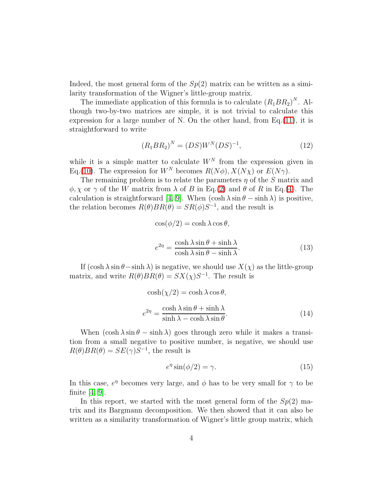Indeed, the most general form of the  $Sp(2)$  matrix can be written as a similarity transformation of the Wigner's little-group matrix.

The immediate application of this formula is to calculate  $(R_1BR_2)^N$ . Although two-by-two matrices are simple, it is not trivial to calculate this expression for a large number of N. On the other hand, from  $Eq.(11)$  $Eq.(11)$ , it is straightforward to write

$$
(R_1 B R_2)^N = (DS)W^N (DS)^{-1},\tag{12}
$$

while it is a simple matter to calculate  $W^N$  from the expression given in Eq.[\(10\)](#page-2-2). The expression for  $W^N$  becomes  $R(N\phi)$ ,  $X(N\chi)$  or  $E(N\gamma)$ .

The remaining problem is to relate the parameters  $\eta$  of the S matrix and  $\phi, \chi$  or  $\gamma$  of the W matrix from  $\lambda$  of B in Eq.[\(2\)](#page-1-1) and  $\theta$  of R in Eq.[\(4\)](#page-1-2). The calculation is straightforward [\[4,](#page-4-3) [9\]](#page-4-8). When  $(\cosh \lambda \sin \theta - \sinh \lambda)$  is positive, the relation becomes  $R(\theta)BR(\theta) = SR(\phi)S^{-1}$ , and the result is

$$
\cos(\phi/2) = \cosh \lambda \cos \theta,
$$
  

$$
e^{2\eta} = \frac{\cosh \lambda \sin \theta + \sinh \lambda}{\cosh \lambda \sin \theta - \sinh \lambda}.
$$
 (13)

If  $(\cosh \lambda \sin \theta - \sinh \lambda)$  is negative, we should use  $X(\chi)$  as the little-group matrix, and write  $R(\theta)BR(\theta) = SX(\chi)S^{-1}$ . The result is

$$
\cosh(\chi/2) = \cosh \lambda \cos \theta,
$$
  

$$
e^{2\eta} = \frac{\cosh \lambda \sin \theta + \sinh \lambda}{\sinh \lambda - \cosh \lambda \sin \theta}.
$$
 (14)

When  $(\cosh \lambda \sin \theta - \sinh \lambda)$  goes through zero while it makes a transition from a small negative to positive number, is negative, we should use  $R(\theta)BR(\theta) = SE(\gamma)S^{-1}$ , the result is

$$
e^{\eta} \sin(\phi/2) = \gamma. \tag{15}
$$

In this case,  $e^{\eta}$  becomes very large, and  $\phi$  has to be very small for  $\gamma$  to be finite [\[4,](#page-4-3) [9\]](#page-4-8).

In this report, we started with the most general form of the  $Sp(2)$  matrix and its Bargmann decomposition. We then showed that it can also be written as a similarity transformation of Wigner's little group matrix, which